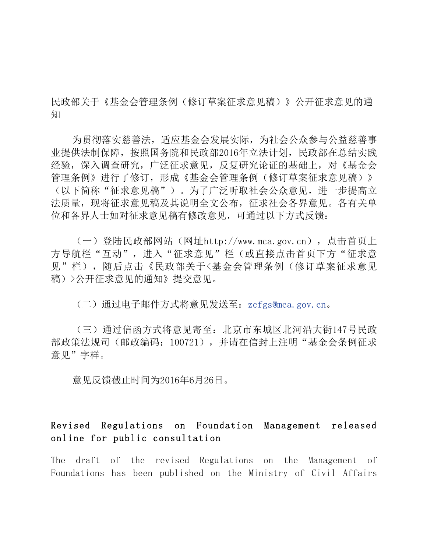民政部关于《基金会管理条例(修订草案征求意见稿)》公开征求意见的通 知

为贯彻落实慈善法,适应基金会发展实际,为社会公众参与公益慈善事 业提供法制保障,按照国务院和民政部2016年立法计划,民政部在总结实践 经验,深入调查研究,广泛征求意见,反复研究论证的基础上,对《基金会 管理条例》进行了修订,形成《基金会管理条例(修订草案征求意见稿)》 (以下简称"征求意见稿")。为了广泛听取社会公众意见,进一步提高立 法质量,现将征求意见稿及其说明全文公布,征求社会各界意见。各有关单 位和各界人士如对征求意见稿有修改意见,可通过以下方式反馈:

(一)登陆民政部网站(网址http://www.mca.gov.cn),点击首页上 方导航栏"互动",进入"征求意见"栏(或直接点击首页下方"征求意 见"栏),随后点击《民政部关于<基金会管理条例(修订草案征求意见 稿)>公开征求意见的通知》提交意见。

(二)通过电子邮件方式将意见发送至:zcfgs@mca.gov.cn。

(三)通过信函方式将意见寄至:北京市东城区北河沿大街147号民政 部政策法规司(邮政编码:100721),并请在信封上注明"基金会条例征求 意见"字样。

意见反馈截止时间为2016年6月26日。

## Revised Regulations on Foundation Management released online for public consultation

The draft of the revised Regulations on the Management of Foundations has been published on the Ministry of Civil Affairs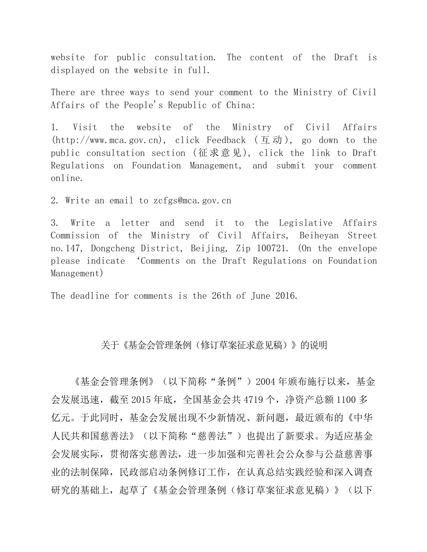website for public consultation. The content of the Draft is displayed on the website in full.

There are three ways to send your comment to the Ministry of Civil Affairs of the People's Republic of China:

1. Visit the website of the Ministry of Civil Affairs (http://www.mca.gov.cn), click Feedback (互动), go down to the public consultation section (征求意见), click the link to Draft Regulations on Foundation Management, and submit your comment online.

2. Write an email to zcfgs@mca.gov.cn

3. Write a letter and send it to the Legislative Affairs Commission of the Ministry of Civil Affairs, Beiheyan Street no.147, Dongcheng District, Beijing, Zip 100721. (On the envelope please indicate 'Comments on the Draft Regulations on Foundation Management)

The deadline for comments is the 26th of June 2016.

## 关于《基金会管理条例(修订草案征求意见稿)》的说明

《基金会管理条例》(以下简称"条例")2004 年颁布施行以来,基金 会发展迅速,截至 2015 年底,全国基金会共 4719 个,净资产总额 1100 多 亿元。于此同时,基金会发展出现不少新情况、新问题,最近颁布的《中华 人民共和国慈善法》(以下简称"慈善法")也提出了新要求。为适应基金 会发展实际,贯彻落实慈善法,进一步加强和完善社会公众参与公益慈善事 业的法制保障,民政部启动条例修订工作,在认真总结实践经验和深入调查 研究的基础上,起草了《基金会管理条例(修订草案征求意见稿)》(以下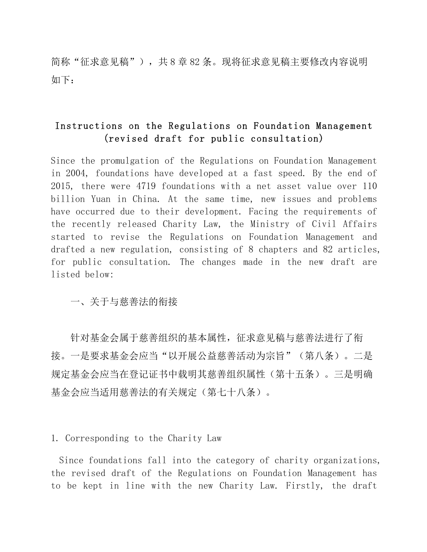简称"征求意见稿"),共8章82条。现将征求意见稿主要修改内容说明 如下:

# Instructions on the Regulations on Foundation Management (revised draft for public consultation)

Since the promulgation of the Regulations on Foundation Management in 2004, foundations have developed at a fast speed. By the end of 2015, there were 4719 foundations with a net asset value over 110 billion Yuan in China. At the same time, new issues and problems have occurred due to their development. Facing the requirements of the recently released Charity Law, the Ministry of Civil Affairs started to revise the Regulations on Foundation Management and drafted a new regulation, consisting of 8 chapters and 82 articles, for public consultation. The changes made in the new draft are listed below:

一、关于与慈善法的衔接

针对基金会属于慈善组织的基本属性,征求意见稿与慈善法进行了衔 接。一是要求基金会应当"以开展公益慈善活动为宗旨"(第八条)。二是 规定基金会应当在登记证书中载明其慈善组织属性(第十五条)。三是明确 基金会应当适用慈善法的有关规定(第七十八条)。

1. Corresponding to the Charity Law

Since foundations fall into the category of charity organizations, the revised draft of the Regulations on Foundation Management has to be kept in line with the new Charity Law. Firstly, the draft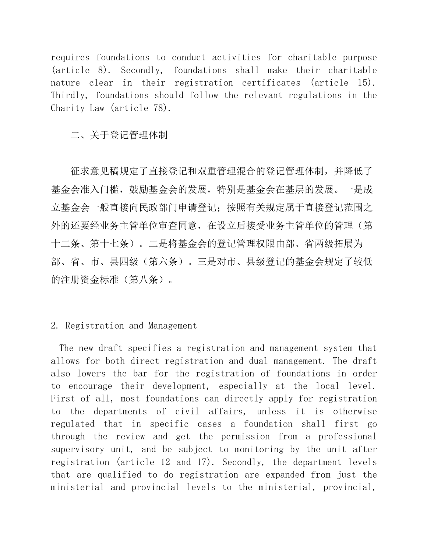requires foundations to conduct activities for charitable purpose (article 8). Secondly, foundations shall make their charitable nature clear in their registration certificates (article 15). Thirdly, foundations should follow the relevant regulations in the Charity Law (article 78).

二、关于登记管理体制

征求意见稿规定了直接登记和双重管理混合的登记管理体制,并降低了 基金会准入门槛,鼓励基金会的发展,特别是基金会在基层的发展。一是成 立基金会一般直接向民政部门申请登记;按照有关规定属于直接登记范围之 外的还要经业务主管单位审查同意,在设立后接受业务主管单位的管理(第 十二条、第十七条)。二是将基金会的登记管理权限由部、省两级拓展为 部、省、市、县四级(第六条)。三是对市、县级登记的基金会规定了较低 的注册资金标准(第八条)。

2. Registration and Management

The new draft specifies a registration and management system that allows for both direct registration and dual management. The draft also lowers the bar for the registration of foundations in order to encourage their development, especially at the local level. First of all, most foundations can directly apply for registration to the departments of civil affairs, unless it is otherwise regulated that in specific cases a foundation shall first go through the review and get the permission from a professional supervisory unit, and be subject to monitoring by the unit after registration (article 12 and 17). Secondly, the department levels that are qualified to do registration are expanded from just the ministerial and provincial levels to the ministerial, provincial,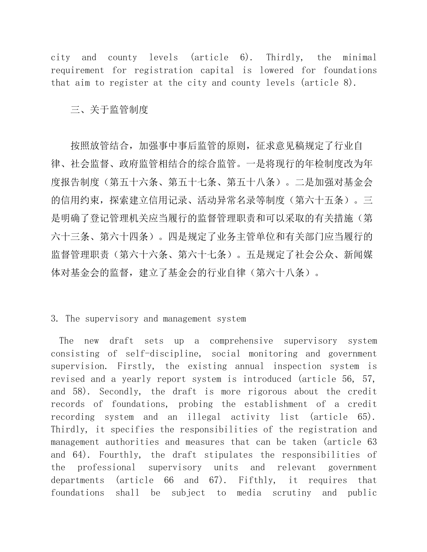city and county levels (article 6). Thirdly, the minimal requirement for registration capital is lowered for foundations that aim to register at the city and county levels (article 8).

三、关于监管制度

按照放管结合,加强事中事后监管的原则,征求意见稿规定了行业自 律、社会监督、政府监管相结合的综合监管。一是将现行的年检制度改为年 度报告制度(第五十六条、第五十七条、第五十八条)。二是加强对基金会 的信用约束,探索建立信用记录、活动异常名录等制度(第六十五条)。三 是明确了登记管理机关应当履行的监督管理职责和可以采取的有关措施(第 六十三条、第六十四条)。四是规定了业务主管单位和有关部门应当履行的 监督管理职责(第六十六条、第六十七条)。五是规定了社会公众、新闻媒 体对基金会的监督,建立了基金会的行业自律(第六十八条)。

## 3. The supervisory and management system

The new draft sets up a comprehensive supervisory system consisting of self-discipline, social monitoring and government supervision. Firstly, the existing annual inspection system is revised and a yearly report system is introduced (article 56, 57, and 58). Secondly, the draft is more rigorous about the credit records of foundations, probing the establishment of a credit recording system and an illegal activity list (article 65). Thirdly, it specifies the responsibilities of the registration and management authorities and measures that can be taken (article 63 and 64). Fourthly, the draft stipulates the responsibilities of the professional supervisory units and relevant government departments (article 66 and 67). Fifthly, it requires that foundations shall be subject to media scrutiny and public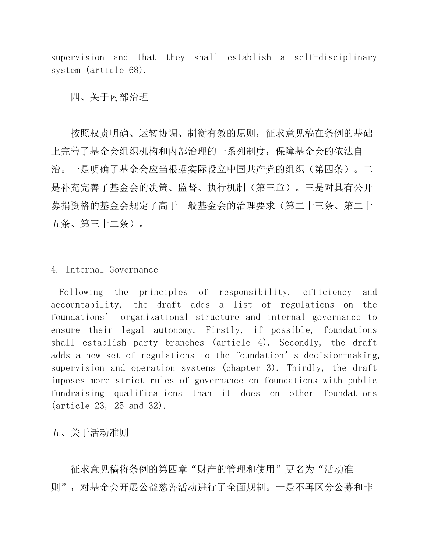supervision and that they shall establish a self-disciplinary system (article 68).

四、关于内部治理

按照权责明确、运转协调、制衡有效的原则,征求意见稿在条例的基础 上完善了基金会组织机构和内部治理的一系列制度,保障基金会的依法自 治。一是明确了基金会应当根据实际设立中国共产党的组织(第四条)。二 是补充完善了基金会的决策、监督、执行机制(第三章)。三是对具有公开 募捐资格的基金会规定了高于一般基金会的治理要求(第二十三条、第二十 五条、第三十二条)。

#### 4. Internal Governance

Following the principles of responsibility, efficiency and accountability, the draft adds a list of regulations on the foundations' organizational structure and internal governance to ensure their legal autonomy. Firstly, if possible, foundations shall establish party branches (article 4). Secondly, the draft adds a new set of regulations to the foundation's decision-making, supervision and operation systems (chapter 3). Thirdly, the draft imposes more strict rules of governance on foundations with public fundraising qualifications than it does on other foundations (article 23, 25 and 32).

五、关于活动准则

征求意见稿将条例的第四章"财产的管理和使用"更名为"活动准 则",对基金会开展公益慈善活动进行了全面规制。一是不再区分公募和非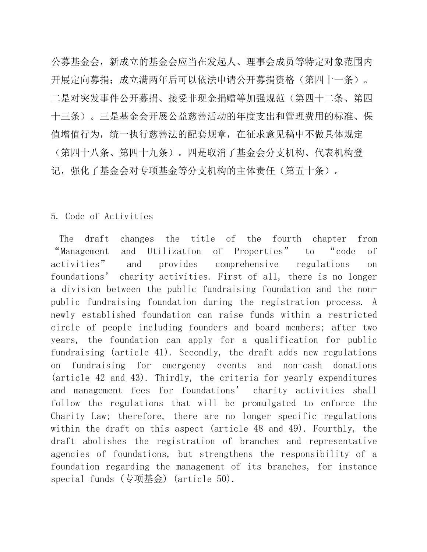公募基金会,新成立的基金会应当在发起人、理事会成员等特定对象范围内 开展定向募捐;成立满两年后可以依法申请公开募捐资格(第四十一条)。 二是对突发事件公开募捐、接受非现金捐赠等加强规范(第四十二条、第四 十三条)。三是基金会开展公益慈善活动的年度支出和管理费用的标准、保 值增值行为,统一执行慈善法的配套规章,在征求意见稿中不做具体规定 (第四十八条、第四十九条)。四是取消了基金会分支机构、代表机构登

记,强化了基金会对专项基金等分支机构的主体责任(第五十条)。

## 5. Code of Activities

The draft changes the title of the fourth chapter from "Management and Utilization of Properties" to "code of activities" and provides comprehensive regulations on foundations' charity activities. First of all, there is no longer a division between the public fundraising foundation and the nonpublic fundraising foundation during the registration process. A newly established foundation can raise funds within a restricted circle of people including founders and board members; after two years, the foundation can apply for a qualification for public fundraising (article 41). Secondly, the draft adds new regulations on fundraising for emergency events and non-cash donations (article 42 and 43). Thirdly, the criteria for yearly expenditures and management fees for foundations' charity activities shall follow the regulations that will be promulgated to enforce the Charity Law; therefore, there are no longer specific regulations within the draft on this aspect (article 48 and 49). Fourthly, the draft abolishes the registration of branches and representative agencies of foundations, but strengthens the responsibility of a foundation regarding the management of its branches, for instance special funds (专项基金) (article 50).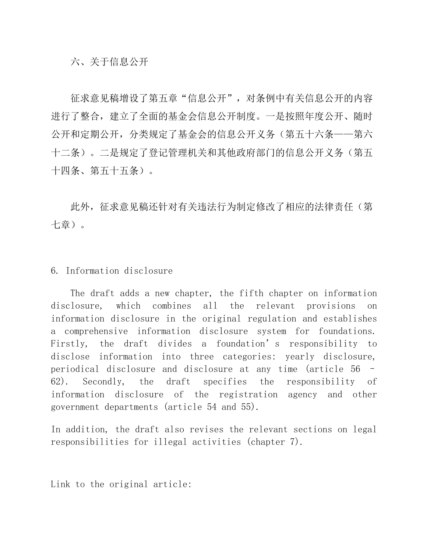## 六、关于信息公开

征求意见稿增设了第五章"信息公开", 对条例中有关信息公开的内容 进行了整合,建立了全面的基金会信息公开制度。一是按照年度公开、随时 公开和定期公开,分类规定了基金会的信息公开义务(第五十六条——第六 十二条)。二是规定了登记管理机关和其他政府部门的信息公开义务(第五 十四条、第五十五条)。

此外,征求意见稿还针对有关违法行为制定修改了相应的法律责任(第 七章)。

### 6. Information disclosure

 The draft adds a new chapter, the fifth chapter on information disclosure, which combines all the relevant provisions on information disclosure in the original regulation and establishes a comprehensive information disclosure system for foundations. Firstly, the draft divides a foundation's responsibility to disclose information into three categories: yearly disclosure, periodical disclosure and disclosure at any time (article 56 – 62). Secondly, the draft specifies the responsibility of information disclosure of the registration agency and other government departments (article 54 and 55).

In addition, the draft also revises the relevant sections on legal responsibilities for illegal activities (chapter 7).

Link to the original article: